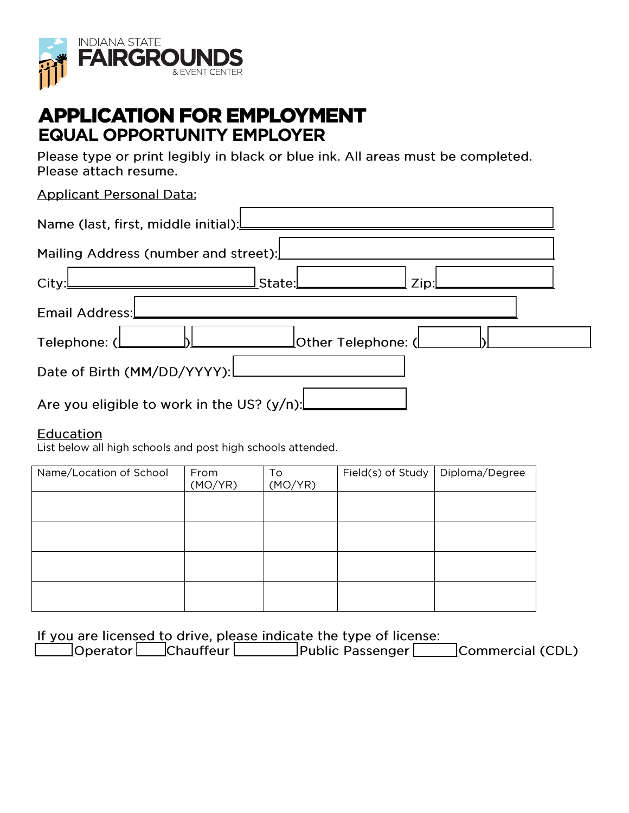

# **APPLICATION FOR EMPLOYMENT EQUAL OPPORTUNITY EMPLOYER**

Please type or print legibly in black or blue ink. All areas must be completed. Please attach resume.

# **Applicant Personal Data:**

| Mailing Address (number and street):          |  |
|-----------------------------------------------|--|
| $Z$ ip: $L$<br>City:L<br>$ $ State: $\Box$    |  |
| Email Address:                                |  |
|                                               |  |
|                                               |  |
| Are you eligible to work in the US? $(y/n)$ : |  |

### Education

List below all high schools and post high schools attended.

| Name/Location of School | From<br>(MO/YR) | To<br>(MO/YR) | Field(s) of Study   Diploma/Degree |  |
|-------------------------|-----------------|---------------|------------------------------------|--|
|                         |                 |               |                                    |  |
|                         |                 |               |                                    |  |
|                         |                 |               |                                    |  |
|                         |                 |               |                                    |  |

If you are licensed to drive, please indicate the type of license:

| Operator | Chauffeur | Public Passenger | Commercial (CDL) |
|----------|-----------|------------------|------------------|
|----------|-----------|------------------|------------------|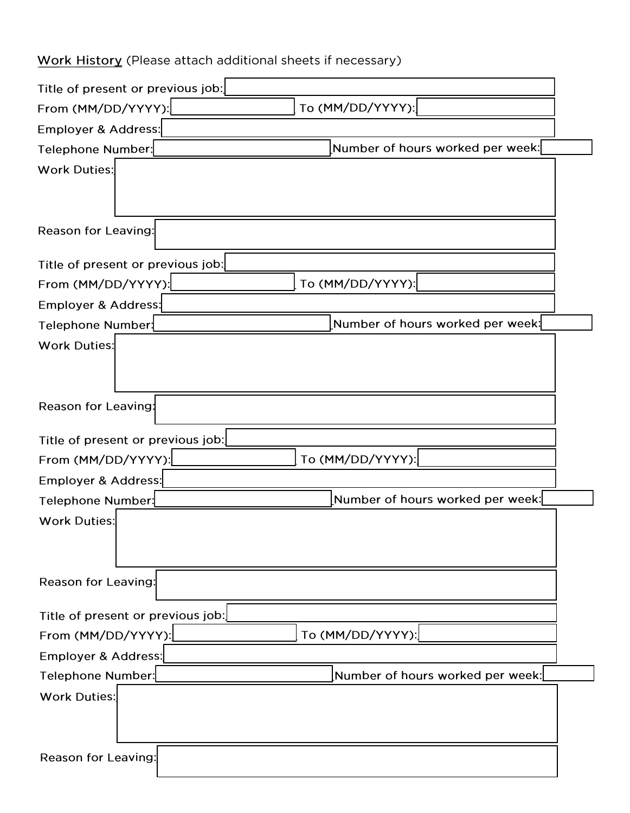# Work History (Please attach additional sheets if necessary)

| Title of present or previous job:                                      |  |
|------------------------------------------------------------------------|--|
| To (MM/DD/YYYY):<br>From (MM/DD/YYYY):                                 |  |
| Employer & Address:                                                    |  |
| Number of hours worked per week:<br>Telephone Number:                  |  |
| <b>Work Duties:</b>                                                    |  |
|                                                                        |  |
|                                                                        |  |
| <b>Reason for Leaving:</b>                                             |  |
| Title of present or previous job:                                      |  |
| To (MM/DD/YYYY):<br>From (MM/DD/YYYY):                                 |  |
| Employer & Address:                                                    |  |
| Number of hours worked per week: $\lfloor$<br><b>Telephone Number:</b> |  |
| <b>Work Duties:</b>                                                    |  |
|                                                                        |  |
|                                                                        |  |
| <b>Reason for Leaving:</b>                                             |  |
| Title of present or previous job:                                      |  |
| To (MM/DD/YYYY):<br>From (MM/DD/YYYY):                                 |  |
| Employer & Address:                                                    |  |
| Number of hours worked per week:<br>Telephone Number:                  |  |
| <b>Work Duties:</b>                                                    |  |
|                                                                        |  |
|                                                                        |  |
| <b>Reason for Leaving:</b>                                             |  |
| Title of present or previous job:                                      |  |
| To (MM/DD/YYYY):<br>From (MM/DD/YYYY):                                 |  |
| Employer & Address:                                                    |  |
| Number of hours worked per week:<br>Telephone Number:                  |  |
| <b>Work Duties:</b>                                                    |  |
|                                                                        |  |
|                                                                        |  |
| Reason for Leaving:                                                    |  |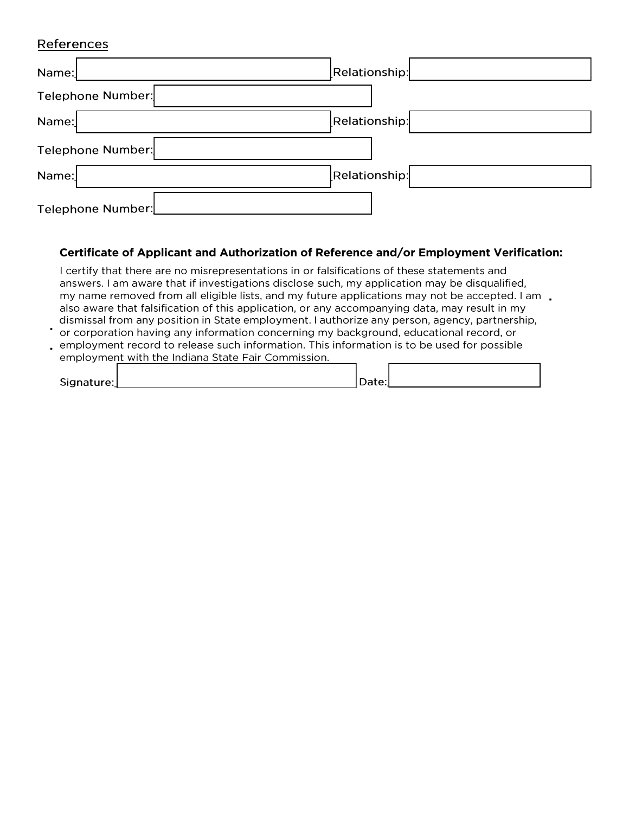#### References

| Name:             | Relationship: |
|-------------------|---------------|
| Telephone Number: |               |
| Name:             | Relationship: |
| Telephone Number: |               |
| Name:             | Relationship: |
| Telephone Number: |               |

#### **Certificate of Applicant and Authorization of Reference and/or Employment Verification:**

I certify that there are no misrepresentations in or falsifications of these statements and answers. I am aware that if investigations disclose such, my application may be disqualified, my name removed from all eligible lists, and my future applications may not be accepted. I am  $\Box$ also aware that falsification of this application, or any accompanying data, may result in my dismissal from any position in State employment. I authorize any person, agency, partnership,

• or corporation having any information concerning my background, educational record, or • employment record to release such information. This information is to be used for possible

| employment with the Indiana State Fair Commission. |  |
|----------------------------------------------------|--|
|                                                    |  |

| Signature: | Date: |  |
|------------|-------|--|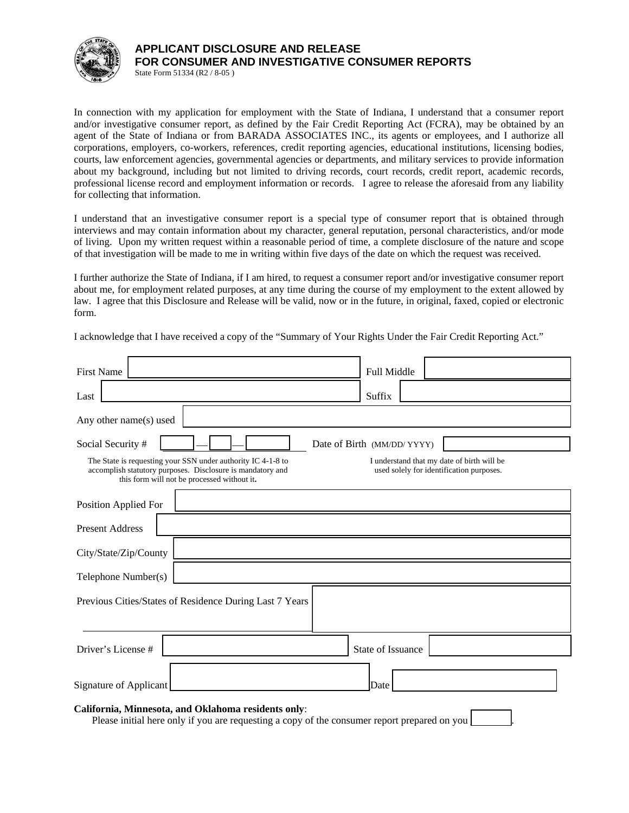

### **APPLICANT DISCLOSURE AND RELEASE FOR CONSUMER AND INVESTIGATIVE CONSUMER REPORTS**

State Form 51334 (R2 / 8-05 )

In connection with my application for employment with the State of Indiana, I understand that a consumer report and/or investigative consumer report, as defined by the Fair Credit Reporting Act (FCRA), may be obtained by an agent of the State of Indiana or from BARADA ASSOCIATES INC., its agents or employees, and I authorize all corporations, employers, co-workers, references, credit reporting agencies, educational institutions, licensing bodies, courts, law enforcement agencies, governmental agencies or departments, and military services to provide information about my background, including but not limited to driving records, court records, credit report, academic records, professional license record and employment information or records. I agree to release the aforesaid from any liability for collecting that information.

I understand that an investigative consumer report is a special type of consumer report that is obtained through interviews and may contain information about my character, general reputation, personal characteristics, and/or mode of living. Upon my written request within a reasonable period of time, a complete disclosure of the nature and scope of that investigation will be made to me in writing within five days of the date on which the request was received.

I further authorize the State of Indiana, if I am hired, to request a consumer report and/or investigative consumer report about me, for employment related purposes, at any time during the course of my employment to the extent allowed by law. I agree that this Disclosure and Release will be valid, now or in the future, in original, faxed, copied or electronic form.

I acknowledge that I have received a copy of the "Summary of Your Rights Under the Fair Credit Reporting Act."

| <b>First Name</b>                                                                                                                                                         | Full Middle                                                                            |
|---------------------------------------------------------------------------------------------------------------------------------------------------------------------------|----------------------------------------------------------------------------------------|
| Last                                                                                                                                                                      | Suffix                                                                                 |
| Any other name(s) used                                                                                                                                                    |                                                                                        |
| Social Security #                                                                                                                                                         | Date of Birth (MM/DD/YYYY)                                                             |
| The State is requesting your SSN under authority IC 4-1-8 to<br>accomplish statutory purposes. Disclosure is mandatory and<br>this form will not be processed without it. | I understand that my date of birth will be<br>used solely for identification purposes. |
| Position Applied For                                                                                                                                                      |                                                                                        |
| <b>Present Address</b>                                                                                                                                                    |                                                                                        |
| City/State/Zip/County                                                                                                                                                     |                                                                                        |
| Telephone Number(s)                                                                                                                                                       |                                                                                        |
| Previous Cities/States of Residence During Last 7 Years                                                                                                                   |                                                                                        |
| Driver's License #                                                                                                                                                        | State of Issuance                                                                      |
| <b>Signature of Applicant</b>                                                                                                                                             | Date                                                                                   |

#### **California, Minnesota, and Oklahoma residents only**:

Please initial here only if you are requesting a copy of the consumer report prepared on you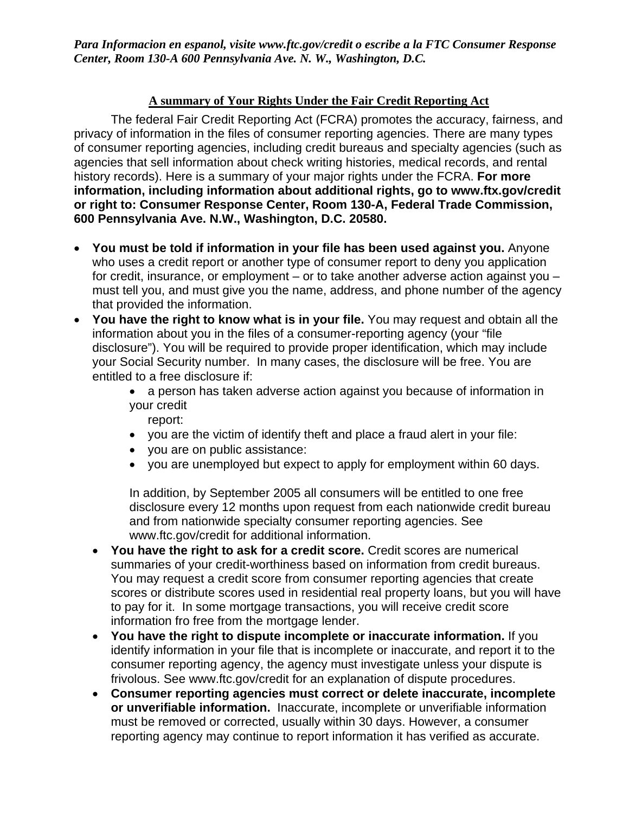*Para Informacion en espanol, visite www.ftc.gov/credit o escribe a la FTC Consumer Response Center, Room 130-A 600 Pennsylvania Ave. N. W., Washington, D.C.* 

## **A summary of Your Rights Under the Fair Credit Reporting Act**

The federal Fair Credit Reporting Act (FCRA) promotes the accuracy, fairness, and privacy of information in the files of consumer reporting agencies. There are many types of consumer reporting agencies, including credit bureaus and specialty agencies (such as agencies that sell information about check writing histories, medical records, and rental history records). Here is a summary of your major rights under the FCRA. **For more information, including information about additional rights, go to www.ftx.gov/credit or right to: Consumer Response Center, Room 130-A, Federal Trade Commission, 600 Pennsylvania Ave. N.W., Washington, D.C. 20580.**

- **You must be told if information in your file has been used against you.** Anyone who uses a credit report or another type of consumer report to deny you application for credit, insurance, or employment – or to take another adverse action against you – must tell you, and must give you the name, address, and phone number of the agency that provided the information.
- **You have the right to know what is in your file.** You may request and obtain all the information about you in the files of a consumer-reporting agency (your "file disclosure"). You will be required to provide proper identification, which may include your Social Security number. In many cases, the disclosure will be free. You are entitled to a free disclosure if:
	- a person has taken adverse action against you because of information in your credit

report:

- you are the victim of identify theft and place a fraud alert in your file:
- you are on public assistance:
- you are unemployed but expect to apply for employment within 60 days.

In addition, by September 2005 all consumers will be entitled to one free disclosure every 12 months upon request from each nationwide credit bureau and from nationwide specialty consumer reporting agencies. See www.ftc.gov/credit for additional information.

- **You have the right to ask for a credit score.** Credit scores are numerical summaries of your credit-worthiness based on information from credit bureaus. You may request a credit score from consumer reporting agencies that create scores or distribute scores used in residential real property loans, but you will have to pay for it. In some mortgage transactions, you will receive credit score information fro free from the mortgage lender.
- **You have the right to dispute incomplete or inaccurate information.** If you identify information in your file that is incomplete or inaccurate, and report it to the consumer reporting agency, the agency must investigate unless your dispute is frivolous. See www.ftc.gov/credit for an explanation of dispute procedures.
- **Consumer reporting agencies must correct or delete inaccurate, incomplete or unverifiable information.** Inaccurate, incomplete or unverifiable information must be removed or corrected, usually within 30 days. However, a consumer reporting agency may continue to report information it has verified as accurate.